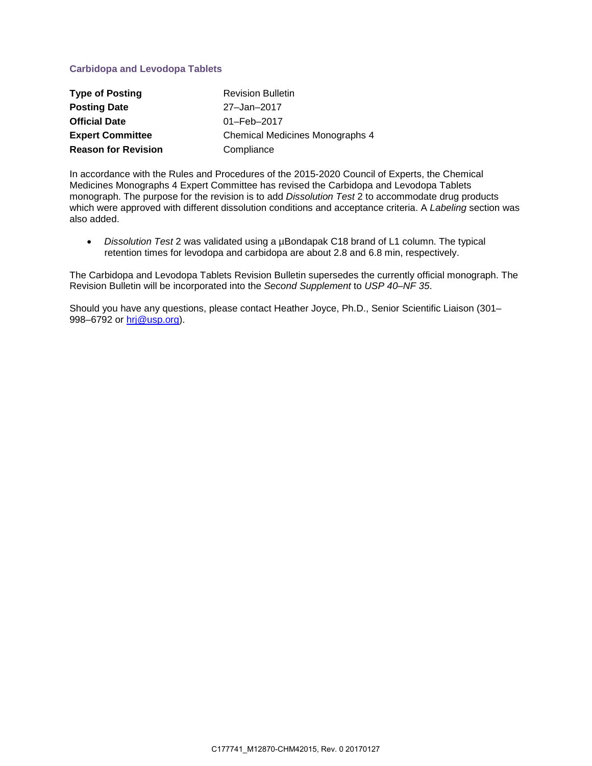## **Carbidopa and Levodopa Tablets**

| <b>Type of Posting</b>     | <b>Revision Bulletin</b>        |
|----------------------------|---------------------------------|
| <b>Posting Date</b>        | 27-Jan-2017                     |
| <b>Official Date</b>       | 01-Feb-2017                     |
| <b>Expert Committee</b>    | Chemical Medicines Monographs 4 |
| <b>Reason for Revision</b> | Compliance                      |

In accordance with the Rules and Procedures of the 2015-2020 Council of Experts, the Chemical Medicines Monographs 4 Expert Committee has revised the Carbidopa and Levodopa Tablets monograph. The purpose for the revision is to add *Dissolution Test* 2 to accommodate drug products which were approved with different dissolution conditions and acceptance criteria. A *Labeling* section was also added.

• *Dissolution Test* 2 was validated using a µBondapak C18 brand of L1 column. The typical retention times for levodopa and carbidopa are about 2.8 and 6.8 min, respectively.

The Carbidopa and Levodopa Tablets Revision Bulletin supersedes the currently official monograph. The Revision Bulletin will be incorporated into the *Second Supplement* to *USP 40–NF 35*.

Should you have any questions, please contact Heather Joyce, Ph.D., Senior Scientific Liaison (301– 998–6792 or [hrj@usp.org\)](mailto:hrj@usp.org).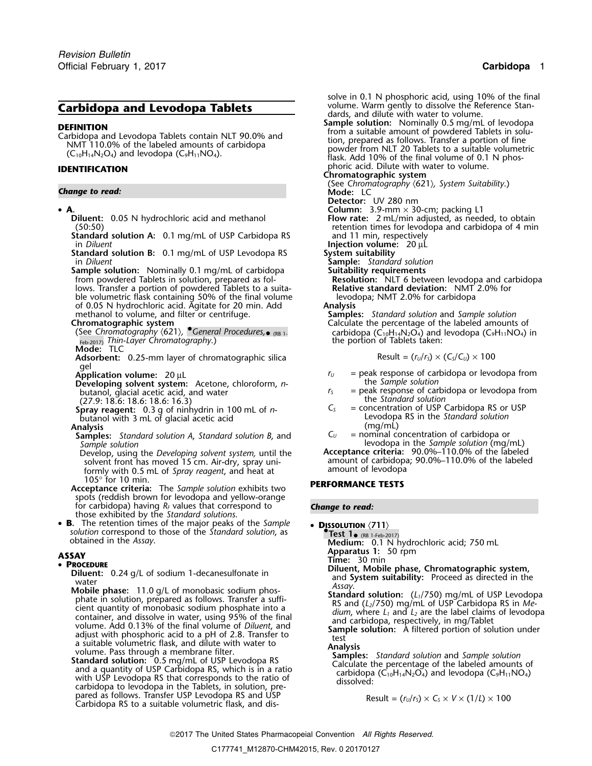# **Carbidopa and Levodopa Tablets**

### • A.

- 
- **Standard solution A:** 0.1 mg/mL of USP Carbidopa RS in Diluent
- **Standard solution B:** 0.1 mg/mL of USP Levodopa RS in Diluent
- **Sample solution:** Nominally 0.1 mg/mL of carbidopa from powdered Tablets in solution, prepared as follows. Transfer a portion of powdered Tablets to a suita- **Relative standard deviation:** NMT 2.0% for ble volumetric flask containing 50% of the final volume levod<br>of 0.05 N hydrochloric acid. Agitate for 20 min. Add **Analysis** of 0.05 N hydrochloric acid. Agitate for 20 min. Add methanol to volume, and filter or centrifuge.

- (See *Chromatography* 〈621〉*, •.General Procedures,*•<sub>Feb-2017)</sub> Thin-Layer Chromatography.) The section of Tablets taken:<br>**Mode:** TLC
- 
- gel<br>**Application volume:** 20 µL
- 
- **Developing solvent system:** Acetone, chloroform, *n*-<br>butanol, glacial acetic acid, and water *S*
- 
- (27.9: 18.6: 18.6: 18.6: 16.3)<br> **Surray reagent:** 0.3 g of pinhydrin in 100 mL of *n*-**Spray reagent:** 0.3 g of ninhydrin in 100 mL of *n*-<br>butanol with 3 mL of glacial acetic acid

- **Samples:** *Standard solution A, Standard solution B, and*  $C_U$  = nominal concentration of carbidopa or *Sample solution (mg/l)* = *Sample solution (mg/l)*
- Develop, using the *Developing solvent system,* until the **Acceptance criteria:** 90.0%–110.0% of the labeled solvent front has moved 15 cm. Air-dry, spray uni-<br>formly with 0.5 ml, of *Spray reggent* and heat at amount of levodopa formly with 0.5 mL of *Spray reagent*, and heat at 105° for 10 min.
- <sup>105</sup>° for 10 min. **PERFORMANCE TESTS Acceptance criteria:** The *Sample solution* exhibits two spots (reddish brown for levodopa and yellow-orange for carbidopa) having *RF* values that correspond to *Change to read:* those exhibited by the *Standard solutions*.
- B. The retention times of the major peaks of the Sample **B**. The retention times of the major peaks of the *Sample* • **DISSOLUTION**  $\langle 711 \rangle$  *solution* correspond to those of the *Standard solution*, as **•• Test 1**• (RB 1-Feb-20) obtained in the *Assay*. (RB 1-Feb-2017) obtained in the *Assay*. **Medium:** 0.1 N hydrochloric acid; 750 mL

### •

- 
- **PROCEDURIT:** 0.24 g/L of sodium 1-decanesulfonate in water and System suitability: Proceed as directed in the water in the model of the final phase. 11.0 g/L of monobasic sodium phos-<br>water and System suitability: Proc
	- pared as follows. Transfer USP Levodopa RS and USP<br>Carbidopa RS to a suitable volumetric flask, and dis-<br> $\frac{d}{dx}$  Result =  $\frac{r_y}{r_s} \times C_s \times V \times (1/L) \times 100$

solve in 0.1 N phosphoric acid, using 10% of the final volume. Warm gently to dissolve the Reference Standards, and dilute with water to volume.<br>**Sample solution:** Nominally 0.5 mg/mL of levodopa<br>from a suitable amount of powdered Tablets in solu-**DEFINITION**<br>Carbidopa and Levodopa Tablets contain NLT 90.0% and<br>NMT 110.0% of the labeled amounts of carbidopa<br>(C<sub>10</sub>H<sub>14</sub>N<sub>2</sub>O<sub>4</sub>) and levodopa (C<sub>9</sub>H<sub>11</sub>NO<sub>4</sub>).<br>C<sub>10</sub>H<sub>14</sub>N<sub>2</sub>O<sub>4</sub>) and levodopa (C<sub>9</sub>H<sub>11</sub>NO<sub>4</sub>).<br>C<sub>10</sub> <sup>p</sup>horic acid. Dilute with water to volume. **IDENTIFICATION Chromatographic system Change to read: Chromatography (621)**, *System Suitability*.) **Change to read: C Detector:** UV 280 nm **A. Column:** 3.9-mm × 30-cm; packing L1 **Diluent:** 0.05 N hydrochloric acid and methanol **Flow rate:** 2 mL/min adjusted, as needed, to obtain (50:50)<br> **Example 20:50)** retention times for levodopa and carbidopa of 4 min (50:50) retention times for levodopa and carbidopa of 4 min **Injection volume:** 20 µL System suitability<br>
Sample: Standard solution **Suitability requirements<br>Resolution:** NLT 6 between levodopa and carbidopa<br>Relative standard deviation: NMT 2.0% for methanol to volume, and filter or centrifuge. **Samples:** *Standard solution* and *Sample solution*<br>Calculate the percentage of the labeled amounts Calculate the percentage of the labeled amounts of carbidopa ( $C_{10}H_{14}N_2O_4$ ) and levodopa (C<sub>9</sub>H<sub>11</sub>NO<sub>4</sub>) in the portion of Tablets taken: **Adsorbent:** 0.25-mm layer of chromatographic silica Result =  $(r<sub>U</sub>/r<sub>S</sub>) \times (C<sub>S</sub>/C<sub>U</sub>) \times 100$ 

- $r_U$  = peak response of carbidopa or levodopa from<br>the *Sample solution*
- = peak response of carbidopa or levodopa from<br>the *Standard solution*
- Spray reagent: 0.3 g of ninhydrin in 100 mL of  $n$ -<br>butanol with 3 mL of glacial acetic acid Levodopa RS in the *Standard solution*<br>Analysis (mg/mL) **Analysis** (mg/mL)
	- *Sample solution* levodopa in the *Sample solution* (mg/mL)

**Apparatus 1:** 50 rpm **ASSAY Time:** 30 min